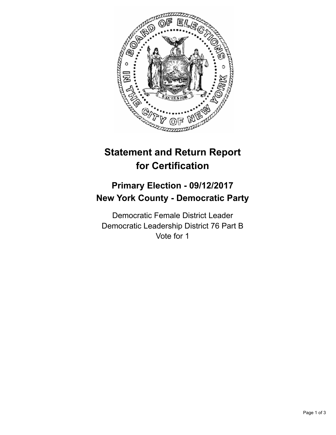

## **Statement and Return Report for Certification**

## **Primary Election - 09/12/2017 New York County - Democratic Party**

Democratic Female District Leader Democratic Leadership District 76 Part B Vote for 1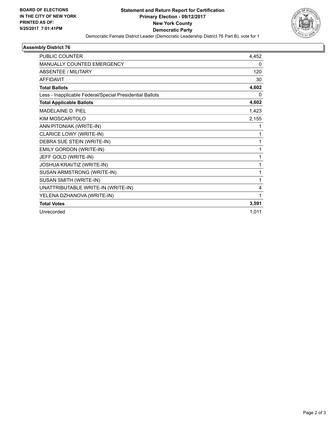

## **Assembly District 76**

| <b>PUBLIC COUNTER</b>                                    | 4,452 |
|----------------------------------------------------------|-------|
| <b>MANUALLY COUNTED EMERGENCY</b>                        | 0     |
| <b>ABSENTEE / MILITARY</b>                               | 120   |
| <b>AFFIDAVIT</b>                                         | 30    |
| <b>Total Ballots</b>                                     | 4,602 |
| Less - Inapplicable Federal/Special Presidential Ballots | 0     |
| <b>Total Applicable Ballots</b>                          | 4,602 |
| <b>MADELAINE D. PIEL</b>                                 | 1,423 |
| KIM MOSCARITOLO                                          | 2,155 |
| ANN PITONIAK (WRITE-IN)                                  | 1     |
| CLARICE LOWY (WRITE-IN)                                  | 1     |
| DEBRA SUE STEIN (WRITE-IN)                               | 1     |
| EMILY GORDON (WRITE-IN)                                  | 1     |
| JEFF GOLD (WRITE-IN)                                     | 1     |
| JOSHUA KRAVTIZ (WRITE-IN)                                | 1     |
| SUSAN ARMSTRONG (WRITE-IN)                               | 1     |
| SUSAN SMITH (WRITE-IN)                                   | 1     |
| UNATTRIBUTABLE WRITE-IN (WRITE-IN)                       | 4     |
| YELENA DZHANOVA (WRITE-IN)                               | 1     |
| <b>Total Votes</b>                                       | 3,591 |
| Unrecorded                                               | 1,011 |